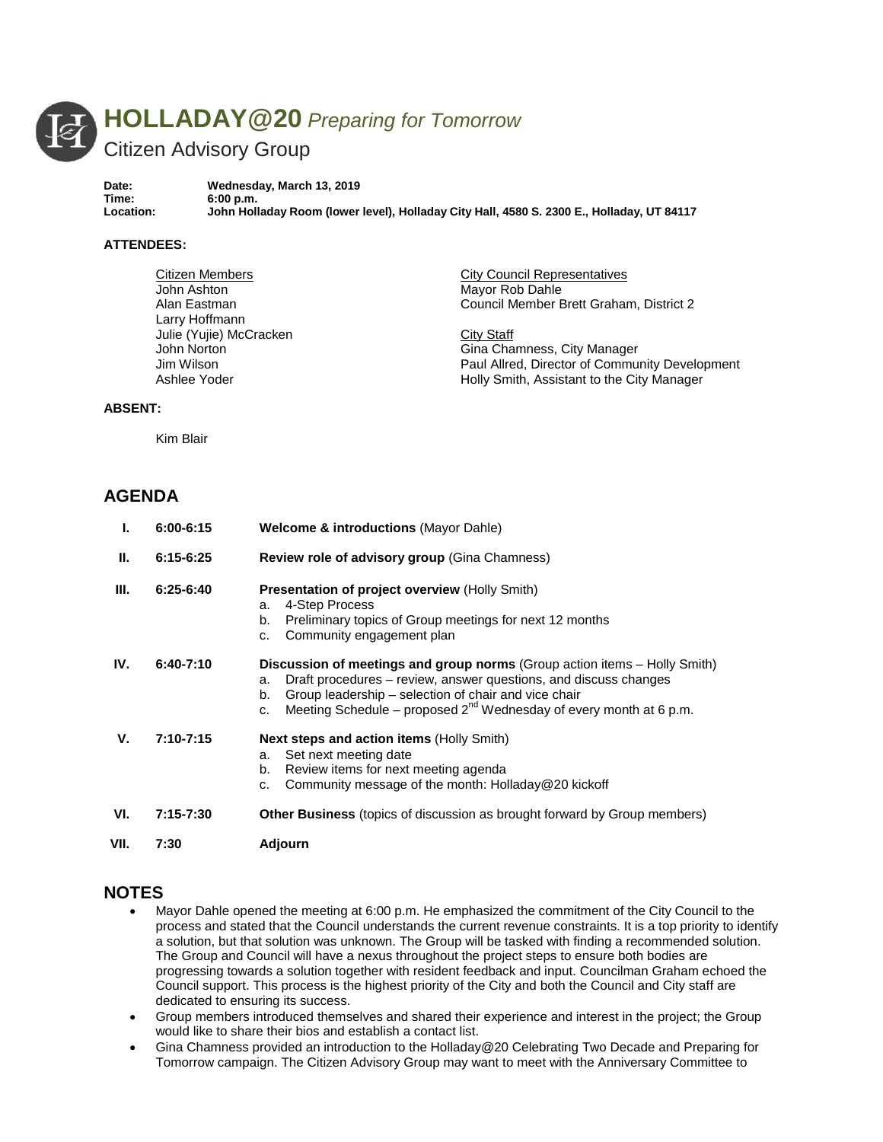

**Date: Wednesday, March 13, 2019 Time: 6:00 p.m. Location: John Holladay Room (lower level), Holladay City Hall, 4580 S. 2300 E., Holladay, UT 84117**

#### **ATTENDEES:**

| Citizen Members         | <b>City Council Representatives</b>            |
|-------------------------|------------------------------------------------|
| John Ashton             | Mayor Rob Dahle                                |
| Alan Eastman            | Council Member Brett Graham, District 2        |
| Larry Hoffmann          |                                                |
| Julie (Yujie) McCracken | City Staff                                     |
| John Norton             | Gina Chamness, City Manager                    |
| Jim Wilson              | Paul Allred, Director of Community Development |
| Ashlee Yoder            | Holly Smith, Assistant to the City Manager     |
|                         |                                                |

#### **ABSENT:**

Kim Blair

## **AGENDA**

| Ъ.   | $6:00 - 6:15$ | <b>Welcome &amp; introductions (Mayor Dahle)</b>                                                                                                                                                                                                                                                   |
|------|---------------|----------------------------------------------------------------------------------------------------------------------------------------------------------------------------------------------------------------------------------------------------------------------------------------------------|
| Ш.   | $6:15 - 6:25$ | <b>Review role of advisory group (Gina Chamness)</b>                                                                                                                                                                                                                                               |
| III. | $6:25-6:40$   | Presentation of project overview (Holly Smith)<br>4-Step Process<br>a.<br>b.<br>Preliminary topics of Group meetings for next 12 months<br>Community engagement plan<br>c.                                                                                                                         |
| IV.  | $6:40-7:10$   | Discussion of meetings and group norms (Group action items – Holly Smith)<br>Draft procedures - review, answer questions, and discuss changes<br>a.<br>Group leadership - selection of chair and vice chair<br>b.<br>Meeting Schedule – proposed $2^{nd}$ Wednesday of every month at 6 p.m.<br>c. |
| v.   | $7:10 - 7:15$ | <b>Next steps and action items (Holly Smith)</b><br>Set next meeting date<br>a.<br>Review items for next meeting agenda<br>b.<br>Community message of the month: Holladay@20 kickoff<br>c.                                                                                                         |
| VI.  | $7:15 - 7:30$ | <b>Other Business</b> (topics of discussion as brought forward by Group members)                                                                                                                                                                                                                   |
| VII. | 7:30          | Adjourn                                                                                                                                                                                                                                                                                            |

### **NOTES**

- Mayor Dahle opened the meeting at 6:00 p.m. He emphasized the commitment of the City Council to the process and stated that the Council understands the current revenue constraints. It is a top priority to identify a solution, but that solution was unknown. The Group will be tasked with finding a recommended solution. The Group and Council will have a nexus throughout the project steps to ensure both bodies are progressing towards a solution together with resident feedback and input. Councilman Graham echoed the Council support. This process is the highest priority of the City and both the Council and City staff are dedicated to ensuring its success.
- Group members introduced themselves and shared their experience and interest in the project; the Group would like to share their bios and establish a contact list.
- Gina Chamness provided an introduction to the Holladay@20 Celebrating Two Decade and Preparing for Tomorrow campaign. The Citizen Advisory Group may want to meet with the Anniversary Committee to